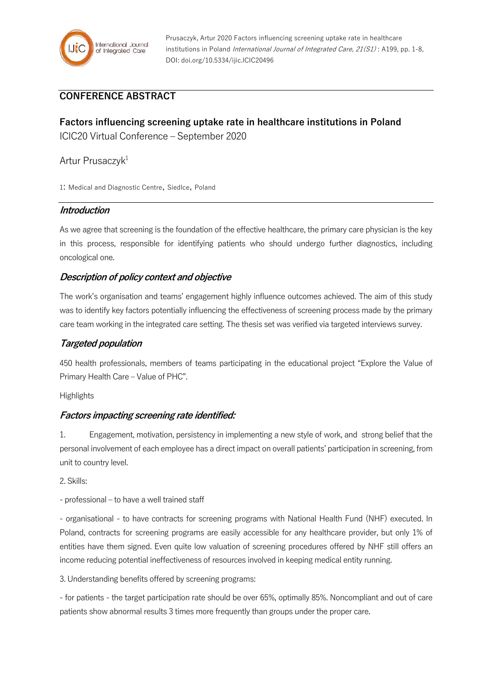

## **CONFERENCE ABSTRACT**

# **Factors influencing screening uptake rate in healthcare institutions in Poland** ICIC20 Virtual Conference – September 2020

### Artur Prusaczyk<sup>1</sup>

1: Medical and Diagnostic Centre, Siedlce, Poland

#### **Introduction**

As we agree that screening is the foundation of the effective healthcare, the primary care physician is the key in this process, responsible for identifying patients who should undergo further diagnostics, including oncological one.

#### **Description of policy context and objective**

The work's organisation and teams' engagement highly influence outcomes achieved. The aim of this study was to identify key factors potentially influencing the effectiveness of screening process made by the primary care team working in the integrated care setting. The thesis set was verified via targeted interviews survey.

#### **Targeted population**

450 health professionals, members of teams participating in the educational project "Explore the Value of Primary Health Care – Value of PHC".

Highlights

#### **Factors impacting screening rate identified:**

1. Engagement, motivation, persistency in implementing a new style of work, and strong belief that the personal involvement of each employee has a direct impact on overall patients' participation in screening, from unit to country level.

2. Skills:

- professional – to have a well trained staff

- organisational - to have contracts for screening programs with National Health Fund (NHF) executed. In Poland, contracts for screening programs are easily accessible for any healthcare provider, but only 1% of entities have them signed. Even quite low valuation of screening procedures offered by NHF still offers an income reducing potential ineffectiveness of resources involved in keeping medical entity running.

3. Understanding benefits offered by screening programs:

- for patients - the target participation rate should be over 65%, optimally 85%. Noncompliant and out of care patients show abnormal results 3 times more frequently than groups under the proper care.